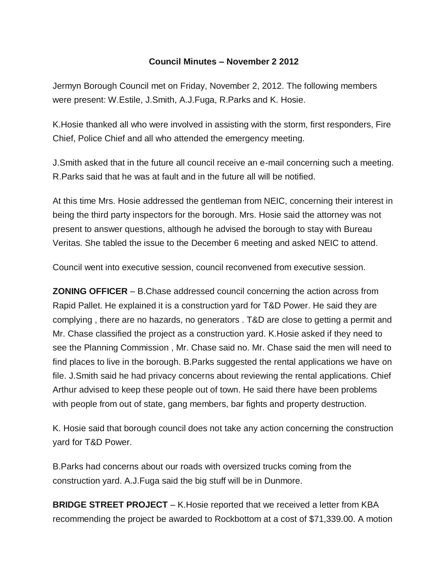## **Council Minutes – November 2 2012**

Jermyn Borough Council met on Friday, November 2, 2012. The following members were present: W.Estile, J.Smith, A.J.Fuga, R.Parks and K. Hosie.

K.Hosie thanked all who were involved in assisting with the storm, first responders, Fire Chief, Police Chief and all who attended the emergency meeting.

J.Smith asked that in the future all council receive an e-mail concerning such a meeting. R.Parks said that he was at fault and in the future all will be notified.

At this time Mrs. Hosie addressed the gentleman from NEIC, concerning their interest in being the third party inspectors for the borough. Mrs. Hosie said the attorney was not present to answer questions, although he advised the borough to stay with Bureau Veritas. She tabled the issue to the December 6 meeting and asked NEIC to attend.

Council went into executive session, council reconvened from executive session.

**ZONING OFFICER** – B.Chase addressed council concerning the action across from Rapid Pallet. He explained it is a construction yard for T&D Power. He said they are complying , there are no hazards, no generators . T&D are close to getting a permit and Mr. Chase classified the project as a construction yard. K.Hosie asked if they need to see the Planning Commission , Mr. Chase said no. Mr. Chase said the men will need to find places to live in the borough. B.Parks suggested the rental applications we have on file. J.Smith said he had privacy concerns about reviewing the rental applications. Chief Arthur advised to keep these people out of town. He said there have been problems with people from out of state, gang members, bar fights and property destruction.

K. Hosie said that borough council does not take any action concerning the construction yard for T&D Power.

B.Parks had concerns about our roads with oversized trucks coming from the construction yard. A.J.Fuga said the big stuff will be in Dunmore.

**BRIDGE STREET PROJECT** – K.Hosie reported that we received a letter from KBA recommending the project be awarded to Rockbottom at a cost of \$71,339.00. A motion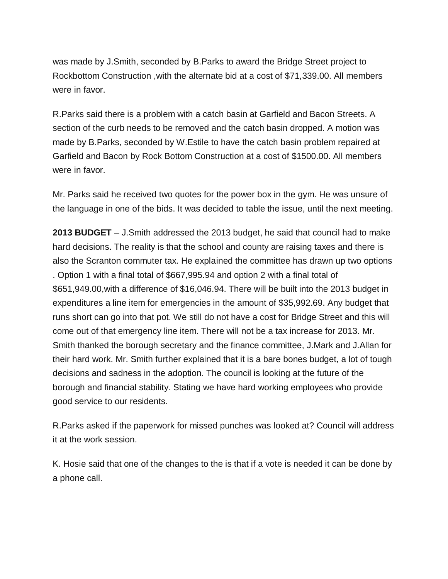was made by J.Smith, seconded by B.Parks to award the Bridge Street project to Rockbottom Construction ,with the alternate bid at a cost of \$71,339.00. All members were in favor.

R.Parks said there is a problem with a catch basin at Garfield and Bacon Streets. A section of the curb needs to be removed and the catch basin dropped. A motion was made by B.Parks, seconded by W.Estile to have the catch basin problem repaired at Garfield and Bacon by Rock Bottom Construction at a cost of \$1500.00. All members were in favor.

Mr. Parks said he received two quotes for the power box in the gym. He was unsure of the language in one of the bids. It was decided to table the issue, until the next meeting.

**2013 BUDGET** – J.Smith addressed the 2013 budget, he said that council had to make hard decisions. The reality is that the school and county are raising taxes and there is also the Scranton commuter tax. He explained the committee has drawn up two options . Option 1 with a final total of \$667,995.94 and option 2 with a final total of \$651,949.00,with a difference of \$16,046.94. There will be built into the 2013 budget in expenditures a line item for emergencies in the amount of \$35,992.69. Any budget that runs short can go into that pot. We still do not have a cost for Bridge Street and this will come out of that emergency line item. There will not be a tax increase for 2013. Mr. Smith thanked the borough secretary and the finance committee, J.Mark and J.Allan for their hard work. Mr. Smith further explained that it is a bare bones budget, a lot of tough decisions and sadness in the adoption. The council is looking at the future of the borough and financial stability. Stating we have hard working employees who provide good service to our residents.

R.Parks asked if the paperwork for missed punches was looked at? Council will address it at the work session.

K. Hosie said that one of the changes to the is that if a vote is needed it can be done by a phone call.